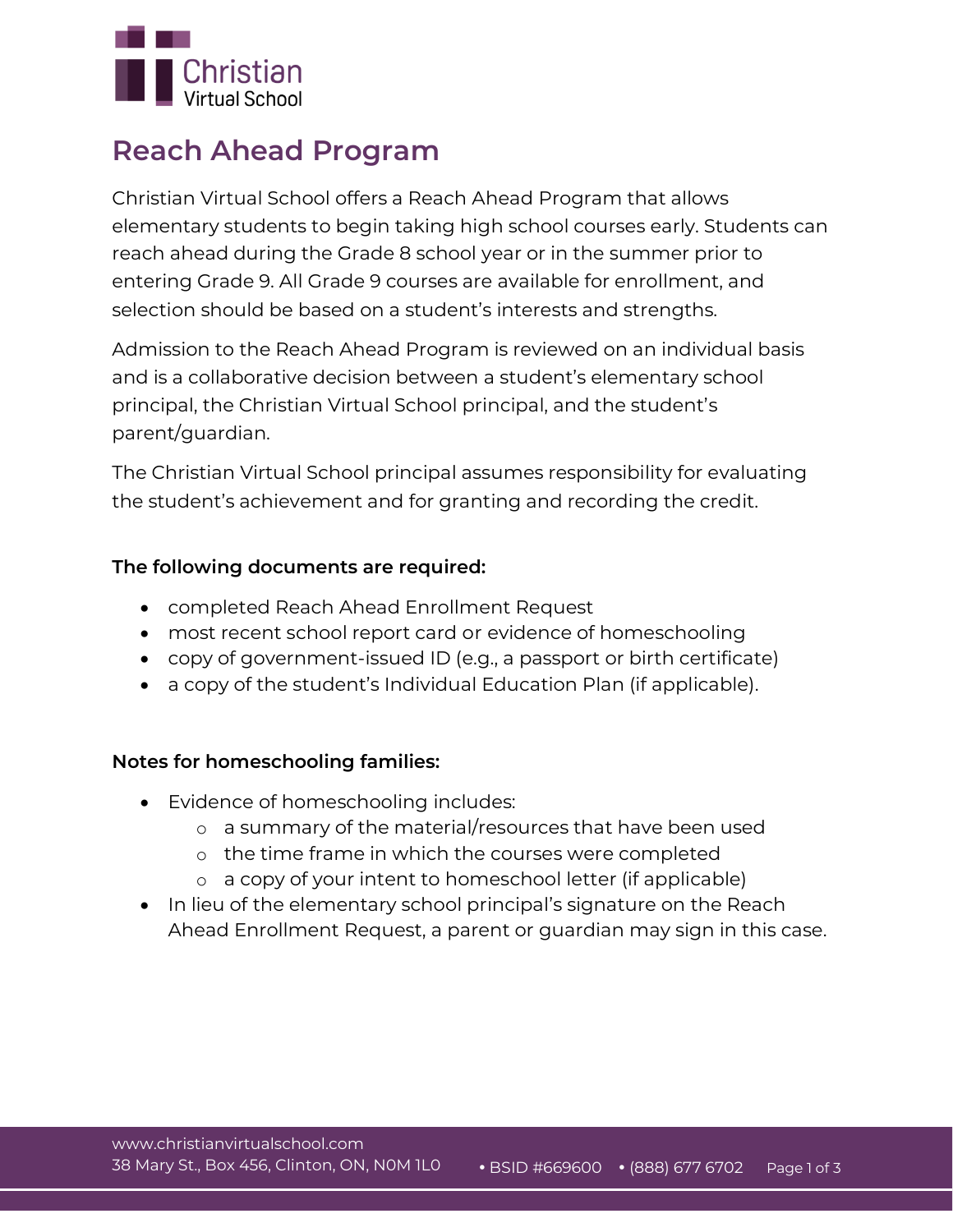

## **Reach Ahead Program**

Christian Virtual School offers a Reach Ahead Program that allows elementary students to begin taking high school courses early. Students can reach ahead during the Grade 8 school year or in the summer prior to entering Grade 9. All Grade 9 courses are available for enrollment, and selection should be based on a student's interests and strengths.

Admission to the Reach Ahead Program is reviewed on an individual basis and is a collaborative decision between a student's elementary school principal, the Christian Virtual School principal, and the student's parent/guardian.

The Christian Virtual School principal assumes responsibility for evaluating the student's achievement and for granting and recording the credit.

## **The following documents are required:**

- completed Reach Ahead Enrollment Request
- most recent school report card **or** evidence of homeschooling
- copy of government-issued ID (e.g., a passport or birth certificate)
- a copy of the student's Individual Education Plan (if applicable).

### **Notes for homeschooling families:**

- Evidence of homeschooling includes:
	- o a summary of the material/resources that have been used
	- o the time frame in which the courses were completed
	- o a copy of your intent to homeschool letter (if applicable)
- In lieu of the elementary school principal's signature on the Reach Ahead Enrollment Request, a parent or guardian may sign in this case.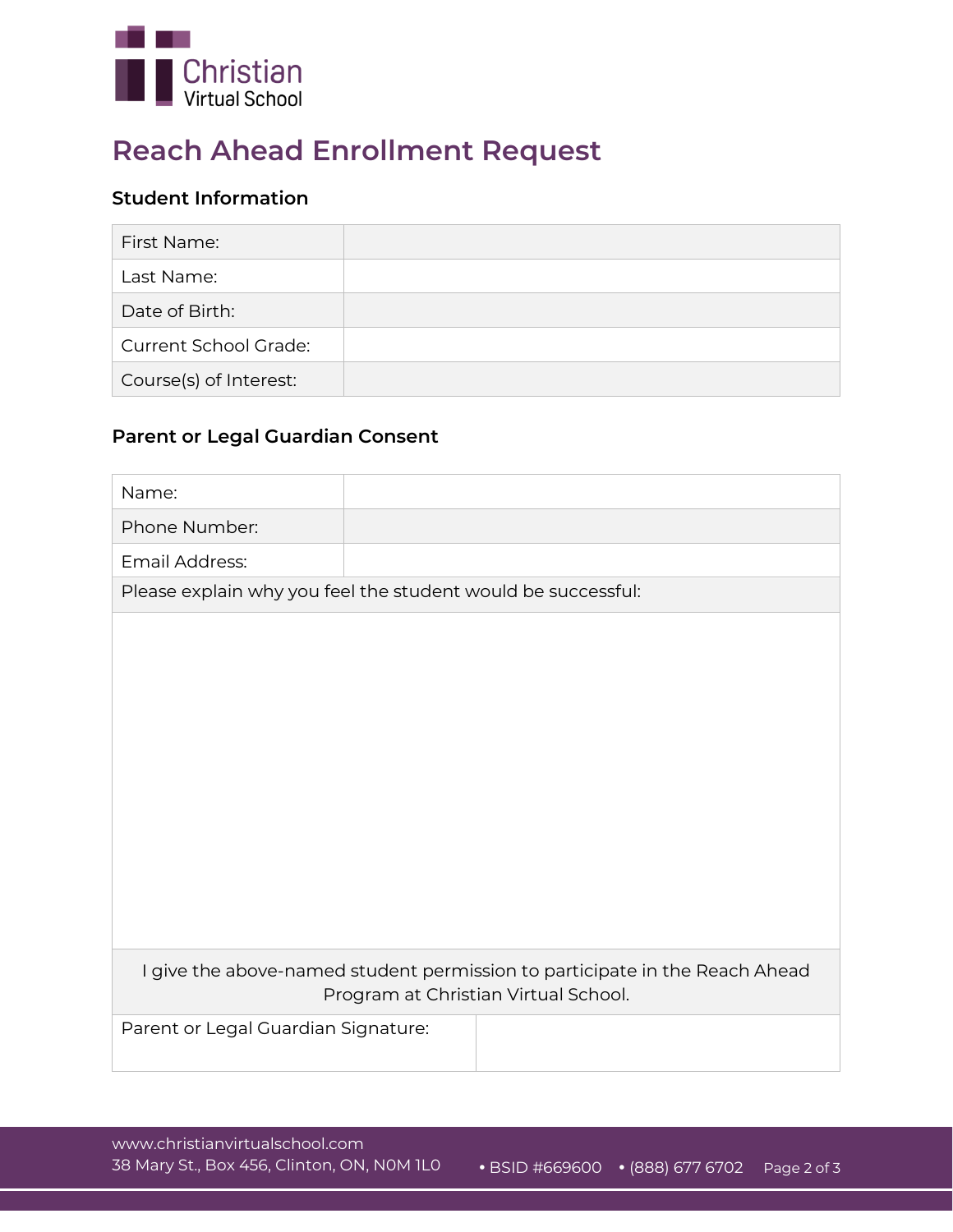

# **Reach Ahead Enrollment Request**

## **Student Information**

| First Name:                  |  |
|------------------------------|--|
| Last Name:                   |  |
| Date of Birth:               |  |
| <b>Current School Grade:</b> |  |
| Course(s) of Interest:       |  |

## **Parent or Legal Guardian Consent**

| Name:                                                                                                               |  |  |  |  |
|---------------------------------------------------------------------------------------------------------------------|--|--|--|--|
| Phone Number:                                                                                                       |  |  |  |  |
| Email Address:                                                                                                      |  |  |  |  |
| Please explain why you feel the student would be successful:                                                        |  |  |  |  |
|                                                                                                                     |  |  |  |  |
|                                                                                                                     |  |  |  |  |
|                                                                                                                     |  |  |  |  |
|                                                                                                                     |  |  |  |  |
|                                                                                                                     |  |  |  |  |
|                                                                                                                     |  |  |  |  |
|                                                                                                                     |  |  |  |  |
|                                                                                                                     |  |  |  |  |
|                                                                                                                     |  |  |  |  |
|                                                                                                                     |  |  |  |  |
| I give the above-named student permission to participate in the Reach Ahead<br>Program at Christian Virtual School. |  |  |  |  |
| Parent or Legal Guardian Signature:                                                                                 |  |  |  |  |